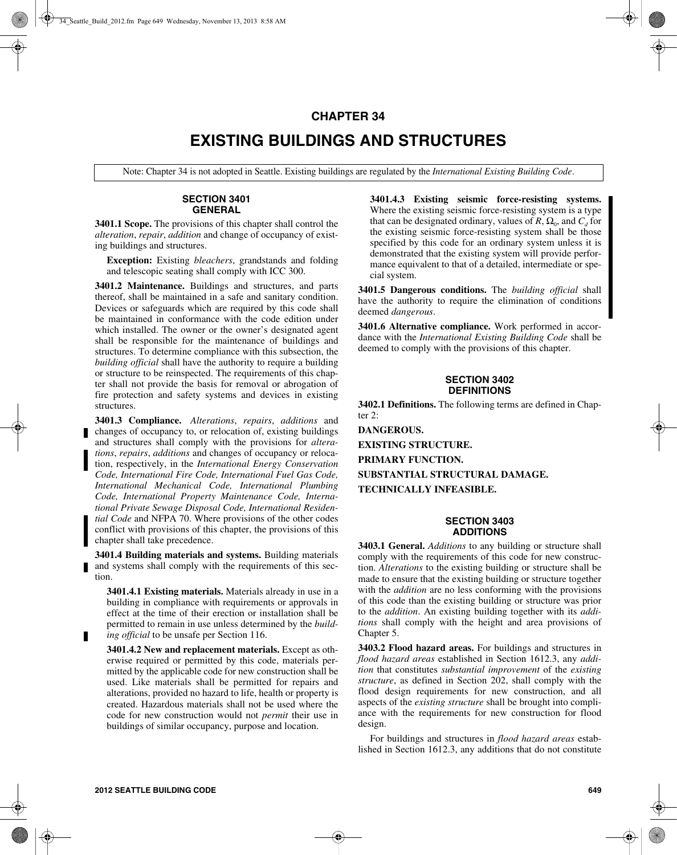## **CHAPTER 34**

## **EXISTING BUILDINGS AND STRUCTURES**

Note: Chapter 34 is not adopted in Seattle. Existing buildings are regulated by the *International Existing Building Code*.

#### **SECTION 3401 GENERAL**

**3401.1 Scope.** The provisions of this chapter shall control the *alteration*, *repair*, *addition* and change of occupancy of existing buildings and structures.

**Exception:** Existing *bleachers*, grandstands and folding and telescopic seating shall comply with ICC 300.

**3401.2 Maintenance.** Buildings and structures, and parts thereof, shall be maintained in a safe and sanitary condition. Devices or safeguards which are required by this code shall be maintained in conformance with the code edition under which installed. The owner or the owner's designated agent shall be responsible for the maintenance of buildings and structures. To determine compliance with this subsection, the *building official* shall have the authority to require a building or structure to be reinspected. The requirements of this chapter shall not provide the basis for removal or abrogation of fire protection and safety systems and devices in existing structures.

**3401.3 Compliance.** *Alterations*, *repairs*, *additions* and changes of occupancy to, or relocation of, existing buildings and structures shall comply with the provisions for *alterations*, *repairs*, *additions* and changes of occupancy or relocation, respectively, in the *International Energy Conservation Code, International Fire Code, International Fuel Gas Code, International Mechanical Code, International Plumbing Code, International Property Maintenance Code, International Private Sewage Disposal Code, International Residential Code* and NFPA 70. Where provisions of the other codes conflict with provisions of this chapter, the provisions of this chapter shall take precedence.

**3401.4 Building materials and systems.** Building materials and systems shall comply with the requirements of this section.

**3401.4.1 Existing materials.** Materials already in use in a building in compliance with requirements or approvals in effect at the time of their erection or installation shall be permitted to remain in use unless determined by the *building official* to be unsafe per Section 116.

**3401.4.2 New and replacement materials.** Except as otherwise required or permitted by this code, materials permitted by the applicable code for new construction shall be used. Like materials shall be permitted for repairs and alterations, provided no hazard to life, health or property is created. Hazardous materials shall not be used where the code for new construction would not *permit* their use in buildings of similar occupancy, purpose and location.

**3401.4.3 Existing seismic force-resisting systems.** Where the existing seismic force-resisting system is a type that can be designated ordinary, values of  $R$ ,  $\Omega_0$ , and  $C_d$  for the existing seismic force-resisting system shall be those specified by this code for an ordinary system unless it is demonstrated that the existing system will provide performance equivalent to that of a detailed, intermediate or special system.

**3401.5 Dangerous conditions.** The *building official* shall have the authority to require the elimination of conditions deemed *dangerous*.

**3401.6 Alternative compliance.** Work performed in accordance with the *International Existing Building Code* shall be deemed to comply with the provisions of this chapter.

#### **SECTION 3402 DEFINITIONS**

**3402.1 Definitions.** The following terms are defined in Chapter 2:

**DANGEROUS. EXISTING STRUCTURE. PRIMARY FUNCTION. SUBSTANTIAL STRUCTURAL DAMAGE. TECHNICALLY INFEASIBLE.**

#### **SECTION 3403 ADDITIONS**

**3403.1 General.** *Additions* to any building or structure shall comply with the requirements of this code for new construction. *Alterations* to the existing building or structure shall be made to ensure that the existing building or structure together with the *addition* are no less conforming with the provisions of this code than the existing building or structure was prior to the *addition*. An existing building together with its *additions* shall comply with the height and area provisions of Chapter 5.

**3403.2 Flood hazard areas.** For buildings and structures in *flood hazard areas* established in Section 1612.3, any *addition* that constitutes *substantial improvement* of the *existing structure*, as defined in Section 202, shall comply with the flood design requirements for new construction, and all aspects of the *existing structure* shall be brought into compliance with the requirements for new construction for flood design.

For buildings and structures in *flood hazard areas* established in Section 1612.3, any additions that do not constitute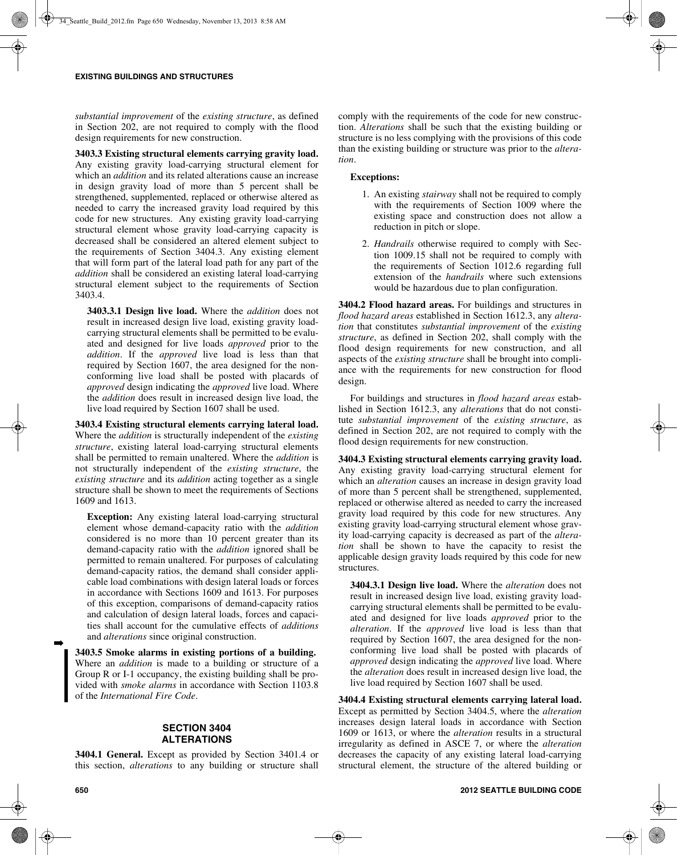*substantial improvement* of the *existing structure*, as defined in Section 202, are not required to comply with the flood design requirements for new construction.

**3403.3 Existing structural elements carrying gravity load.** Any existing gravity load-carrying structural element for which an *addition* and its related alterations cause an increase in design gravity load of more than 5 percent shall be strengthened, supplemented, replaced or otherwise altered as needed to carry the increased gravity load required by this code for new structures. Any existing gravity load-carrying structural element whose gravity load-carrying capacity is decreased shall be considered an altered element subject to the requirements of Section 3404.3. Any existing element that will form part of the lateral load path for any part of the *addition* shall be considered an existing lateral load-carrying structural element subject to the requirements of Section 3403.4.

**3403.3.1 Design live load.** Where the *addition* does not result in increased design live load, existing gravity loadcarrying structural elements shall be permitted to be evaluated and designed for live loads *approved* prior to the *addition*. If the *approved* live load is less than that required by Section 1607, the area designed for the nonconforming live load shall be posted with placards of *approved* design indicating the *approved* live load. Where the *addition* does result in increased design live load, the live load required by Section 1607 shall be used.

**3403.4 Existing structural elements carrying lateral load.** Where the *addition* is structurally independent of the *existing structure*, existing lateral load-carrying structural elements shall be permitted to remain unaltered. Where the *addition* is not structurally independent of the *existing structure*, the *existing structure* and its *addition* acting together as a single structure shall be shown to meet the requirements of Sections 1609 and 1613.

**Exception:** Any existing lateral load-carrying structural element whose demand-capacity ratio with the *addition* considered is no more than 10 percent greater than its demand-capacity ratio with the *addition* ignored shall be permitted to remain unaltered. For purposes of calculating demand-capacity ratios, the demand shall consider applicable load combinations with design lateral loads or forces in accordance with Sections 1609 and 1613. For purposes of this exception, comparisons of demand-capacity ratios and calculation of design lateral loads, forces and capacities shall account for the cumulative effects of *additions* and *alterations* since original construction.

**3403.5 Smoke alarms in existing portions of a building.** Where an *addition* is made to a building or structure of a Group R or I-1 occupancy, the existing building shall be provided with *smoke alarms* in accordance with Section 1103.8 of the *International Fire Code*.

## **SECTION 3404 ALTERATIONS**

**3404.1 General.** Except as provided by Section 3401.4 or this section, *alterations* to any building or structure shall comply with the requirements of the code for new construction. *Alterations* shall be such that the existing building or structure is no less complying with the provisions of this code than the existing building or structure was prior to the *alteration*.

### **Exceptions:**

- 1. An existing *stairway* shall not be required to comply with the requirements of Section 1009 where the existing space and construction does not allow a reduction in pitch or slope.
- 2. *Handrails* otherwise required to comply with Section 1009.15 shall not be required to comply with the requirements of Section 1012.6 regarding full extension of the *handrails* where such extensions would be hazardous due to plan configuration.

**3404.2 Flood hazard areas.** For buildings and structures in *flood hazard areas* established in Section 1612.3, any *alteration* that constitutes *substantial improvement* of the *existing structure*, as defined in Section 202, shall comply with the flood design requirements for new construction, and all aspects of the *existing structure* shall be brought into compliance with the requirements for new construction for flood design.

For buildings and structures in *flood hazard areas* established in Section 1612.3, any *alterations* that do not constitute *substantial improvement* of the *existing structure*, as defined in Section 202, are not required to comply with the flood design requirements for new construction.

**3404.3 Existing structural elements carrying gravity load.** Any existing gravity load-carrying structural element for which an *alteration* causes an increase in design gravity load of more than 5 percent shall be strengthened, supplemented, replaced or otherwise altered as needed to carry the increased gravity load required by this code for new structures. Any existing gravity load-carrying structural element whose gravity load-carrying capacity is decreased as part of the *alteration* shall be shown to have the capacity to resist the applicable design gravity loads required by this code for new structures.

**3404.3.1 Design live load.** Where the *alteration* does not result in increased design live load, existing gravity loadcarrying structural elements shall be permitted to be evaluated and designed for live loads *approved* prior to the *alteration*. If the *approved* live load is less than that required by Section 1607, the area designed for the nonconforming live load shall be posted with placards of *approved* design indicating the *approved* live load. Where the *alteration* does result in increased design live load, the live load required by Section 1607 shall be used.

**3404.4 Existing structural elements carrying lateral load.** Except as permitted by Section 3404.5, where the *alteration* increases design lateral loads in accordance with Section 1609 or 1613, or where the *alteration* results in a structural irregularity as defined in ASCE 7, or where the *alteration* decreases the capacity of any existing lateral load-carrying structural element, the structure of the altered building or

➡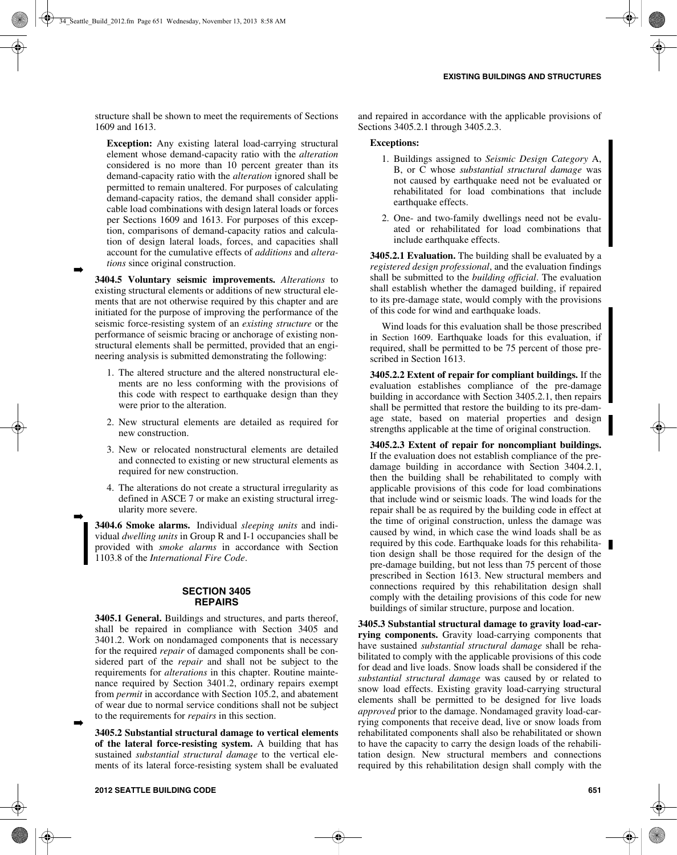structure shall be shown to meet the requirements of Sections 1609 and 1613.

**Exception:** Any existing lateral load-carrying structural element whose demand-capacity ratio with the *alteration* considered is no more than 10 percent greater than its demand-capacity ratio with the *alteration* ignored shall be permitted to remain unaltered. For purposes of calculating demand-capacity ratios, the demand shall consider applicable load combinations with design lateral loads or forces per Sections 1609 and 1613. For purposes of this exception, comparisons of demand-capacity ratios and calculation of design lateral loads, forces, and capacities shall account for the cumulative effects of *additions* and *alterations* since original construction.

**3404.5 Voluntary seismic improvements.** *Alterations* to existing structural elements or additions of new structural elements that are not otherwise required by this chapter and are initiated for the purpose of improving the performance of the seismic force-resisting system of an *existing structure* or the performance of seismic bracing or anchorage of existing nonstructural elements shall be permitted, provided that an engineering analysis is submitted demonstrating the following:

➡

➡

➡

- 1. The altered structure and the altered nonstructural elements are no less conforming with the provisions of this code with respect to earthquake design than they were prior to the alteration.
- 2. New structural elements are detailed as required for new construction.
- 3. New or relocated nonstructural elements are detailed and connected to existing or new structural elements as required for new construction.
- 4. The alterations do not create a structural irregularity as defined in ASCE 7 or make an existing structural irregularity more severe.

**3404.6 Smoke alarms.** Individual *sleeping units* and individual *dwelling units* in Group R and I-1 occupancies shall be provided with *smoke alarms* in accordance with Section 1103.8 of the *International Fire Code*.

#### **SECTION 3405 REPAIRS**

**3405.1 General.** Buildings and structures, and parts thereof, shall be repaired in compliance with Section 3405 and 3401.2. Work on nondamaged components that is necessary for the required *repair* of damaged components shall be considered part of the *repair* and shall not be subject to the requirements for *alterations* in this chapter. Routine maintenance required by Section 3401.2, ordinary repairs exempt from *permit* in accordance with Section 105.2, and abatement of wear due to normal service conditions shall not be subject to the requirements for *repairs* in this section.

**3405.2 Substantial structural damage to vertical elements of the lateral force-resisting system.** A building that has sustained *substantial structural damage* to the vertical elements of its lateral force-resisting system shall be evaluated and repaired in accordance with the applicable provisions of Sections 3405.2.1 through 3405.2.3.

#### **Exceptions:**

- 1. Buildings assigned to *Seismic Design Category* A, B, or C whose *substantial structural damage* was not caused by earthquake need not be evaluated or rehabilitated for load combinations that include earthquake effects.
- 2. One- and two-family dwellings need not be evaluated or rehabilitated for load combinations that include earthquake effects.

**3405.2.1 Evaluation.** The building shall be evaluated by a *registered design professional*, and the evaluation findings shall be submitted to the *building official*. The evaluation shall establish whether the damaged building, if repaired to its pre-damage state, would comply with the provisions of this code for wind and earthquake loads.

Wind loads for this evaluation shall be those prescribed in Section 1609. Earthquake loads for this evaluation, if required, shall be permitted to be 75 percent of those prescribed in Section 1613.

**3405.2.2 Extent of repair for compliant buildings.** If the evaluation establishes compliance of the pre-damage building in accordance with Section 3405.2.1, then repairs shall be permitted that restore the building to its pre-damage state, based on material properties and design strengths applicable at the time of original construction.

**3405.2.3 Extent of repair for noncompliant buildings.** If the evaluation does not establish compliance of the predamage building in accordance with Section 3404.2.1, then the building shall be rehabilitated to comply with applicable provisions of this code for load combinations that include wind or seismic loads. The wind loads for the repair shall be as required by the building code in effect at the time of original construction, unless the damage was caused by wind, in which case the wind loads shall be as required by this code. Earthquake loads for this rehabilitation design shall be those required for the design of the pre-damage building, but not less than 75 percent of those prescribed in Section 1613. New structural members and connections required by this rehabilitation design shall comply with the detailing provisions of this code for new buildings of similar structure, purpose and location.

**3405.3 Substantial structural damage to gravity load-carrying components.** Gravity load-carrying components that have sustained *substantial structural damage* shall be rehabilitated to comply with the applicable provisions of this code for dead and live loads. Snow loads shall be considered if the *substantial structural damage* was caused by or related to snow load effects. Existing gravity load-carrying structural elements shall be permitted to be designed for live loads *approved* prior to the damage. Nondamaged gravity load-carrying components that receive dead, live or snow loads from rehabilitated components shall also be rehabilitated or shown to have the capacity to carry the design loads of the rehabilitation design. New structural members and connections required by this rehabilitation design shall comply with the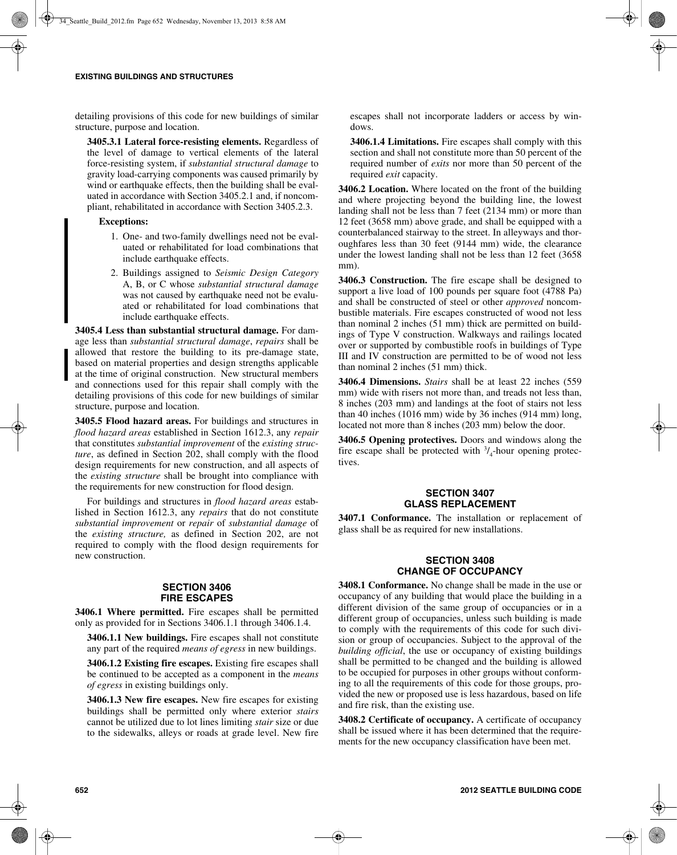detailing provisions of this code for new buildings of similar structure, purpose and location.

**3405.3.1 Lateral force-resisting elements.** Regardless of the level of damage to vertical elements of the lateral force-resisting system, if *substantial structural damage* to gravity load-carrying components was caused primarily by wind or earthquake effects, then the building shall be evaluated in accordance with Section 3405.2.1 and, if noncompliant, rehabilitated in accordance with Section 3405.2.3.

#### **Exceptions:**

- 1. One- and two-family dwellings need not be evaluated or rehabilitated for load combinations that include earthquake effects.
- 2. Buildings assigned to *Seismic Design Category* A, B, or C whose *substantial structural damage* was not caused by earthquake need not be evaluated or rehabilitated for load combinations that include earthquake effects.

**3405.4 Less than substantial structural damage.** For damage less than *substantial structural damage*, *repairs* shall be allowed that restore the building to its pre-damage state, based on material properties and design strengths applicable at the time of original construction. New structural members and connections used for this repair shall comply with the detailing provisions of this code for new buildings of similar structure, purpose and location.

**3405.5 Flood hazard areas.** For buildings and structures in *flood hazard areas* established in Section 1612.3, any *repair* that constitutes *substantial improvement* of the *existing structure*, as defined in Section 202, shall comply with the flood design requirements for new construction, and all aspects of the *existing structure* shall be brought into compliance with the requirements for new construction for flood design.

For buildings and structures in *flood hazard areas* established in Section 1612.3, any *repairs* that do not constitute *substantial improvement* or *repair* of *substantial damage* of the *existing structure,* as defined in Section 202, are not required to comply with the flood design requirements for new construction.

#### **SECTION 3406 FIRE ESCAPES**

**3406.1 Where permitted.** Fire escapes shall be permitted only as provided for in Sections 3406.1.1 through 3406.1.4.

**3406.1.1 New buildings.** Fire escapes shall not constitute any part of the required *means of egress* in new buildings.

**3406.1.2 Existing fire escapes.** Existing fire escapes shall be continued to be accepted as a component in the *means of egress* in existing buildings only.

**3406.1.3 New fire escapes.** New fire escapes for existing buildings shall be permitted only where exterior *stairs* cannot be utilized due to lot lines limiting *stair* size or due to the sidewalks, alleys or roads at grade level. New fire escapes shall not incorporate ladders or access by windows.

**3406.1.4 Limitations.** Fire escapes shall comply with this section and shall not constitute more than 50 percent of the required number of *exits* nor more than 50 percent of the required *exit* capacity.

**3406.2 Location.** Where located on the front of the building and where projecting beyond the building line, the lowest landing shall not be less than 7 feet (2134 mm) or more than 12 feet (3658 mm) above grade, and shall be equipped with a counterbalanced stairway to the street. In alleyways and thoroughfares less than 30 feet (9144 mm) wide, the clearance under the lowest landing shall not be less than 12 feet (3658 mm).

**3406.3 Construction.** The fire escape shall be designed to support a live load of 100 pounds per square foot (4788 Pa) and shall be constructed of steel or other *approved* noncombustible materials. Fire escapes constructed of wood not less than nominal 2 inches (51 mm) thick are permitted on buildings of Type V construction. Walkways and railings located over or supported by combustible roofs in buildings of Type III and IV construction are permitted to be of wood not less than nominal 2 inches (51 mm) thick.

**3406.4 Dimensions.** *Stairs* shall be at least 22 inches (559 mm) wide with risers not more than, and treads not less than, 8 inches (203 mm) and landings at the foot of stairs not less than 40 inches (1016 mm) wide by 36 inches (914 mm) long, located not more than 8 inches (203 mm) below the door.

**3406.5 Opening protectives.** Doors and windows along the fire escape shall be protected with  $\frac{3}{4}$ -hour opening protectives.

## **SECTION 3407 GLASS REPLACEMENT**

**3407.1 Conformance.** The installation or replacement of glass shall be as required for new installations.

#### **SECTION 3408 CHANGE OF OCCUPANCY**

**3408.1 Conformance.** No change shall be made in the use or occupancy of any building that would place the building in a different division of the same group of occupancies or in a different group of occupancies, unless such building is made to comply with the requirements of this code for such division or group of occupancies. Subject to the approval of the *building official*, the use or occupancy of existing buildings shall be permitted to be changed and the building is allowed to be occupied for purposes in other groups without conforming to all the requirements of this code for those groups, provided the new or proposed use is less hazardous, based on life and fire risk, than the existing use.

**3408.2 Certificate of occupancy.** A certificate of occupancy shall be issued where it has been determined that the requirements for the new occupancy classification have been met.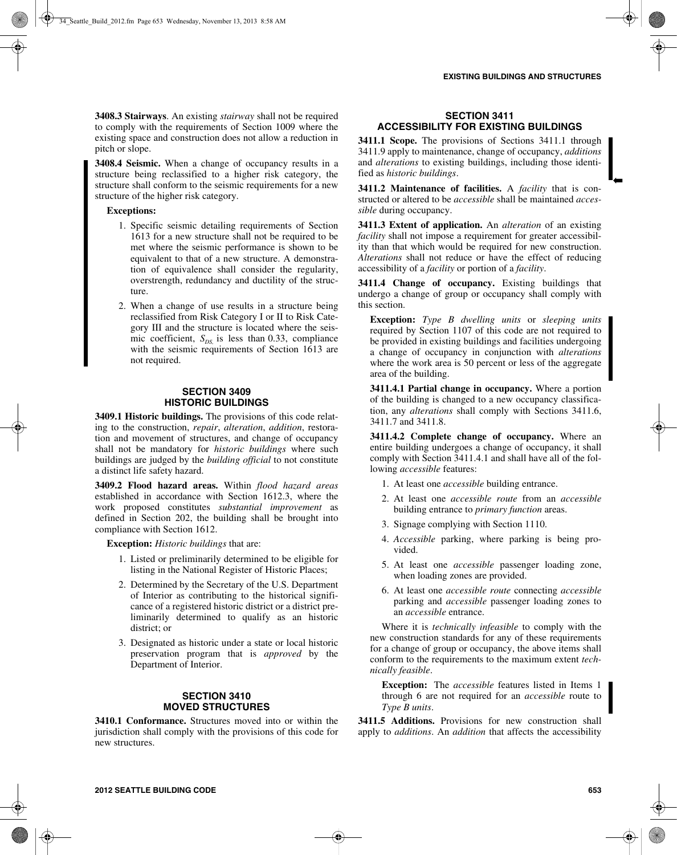➡

**3408.3 Stairways**. An existing *stairway* shall not be required to comply with the requirements of Section 1009 where the existing space and construction does not allow a reduction in pitch or slope.

**3408.4 Seismic.** When a change of occupancy results in a structure being reclassified to a higher risk category, the structure shall conform to the seismic requirements for a new structure of the higher risk category.

**Exceptions:**

- 1. Specific seismic detailing requirements of Section 1613 for a new structure shall not be required to be met where the seismic performance is shown to be equivalent to that of a new structure. A demonstration of equivalence shall consider the regularity, overstrength, redundancy and ductility of the structure.
- 2. When a change of use results in a structure being reclassified from Risk Category I or II to Risk Category III and the structure is located where the seismic coefficient,  $S_{DS}$  is less than 0.33, compliance with the seismic requirements of Section 1613 are not required.

#### **SECTION 3409 HISTORIC BUILDINGS**

**3409.1 Historic buildings.** The provisions of this code relating to the construction, *repair*, *alteration*, *addition*, restoration and movement of structures, and change of occupancy shall not be mandatory for *historic buildings* where such buildings are judged by the *building official* to not constitute a distinct life safety hazard.

**3409.2 Flood hazard areas.** Within *flood hazard areas* established in accordance with Section 1612.3, where the work proposed constitutes *substantial improvement* as defined in Section 202, the building shall be brought into compliance with Section 1612.

**Exception:** *Historic buildings* that are:

- 1. Listed or preliminarily determined to be eligible for listing in the National Register of Historic Places;
- 2. Determined by the Secretary of the U.S. Department of Interior as contributing to the historical significance of a registered historic district or a district preliminarily determined to qualify as an historic district; or
- 3. Designated as historic under a state or local historic preservation program that is *approved* by the Department of Interior.

#### **SECTION 3410 MOVED STRUCTURES**

**3410.1 Conformance.** Structures moved into or within the jurisdiction shall comply with the provisions of this code for new structures.

## **SECTION 3411 ACCESSIBILITY FOR EXISTING BUILDINGS**

**3411.1 Scope.** The provisions of Sections 3411.1 through 3411.9 apply to maintenance, change of occupancy, *additions* and *alterations* to existing buildings, including those identified as *historic buildings*.

**3411.2 Maintenance of facilities.** A *facility* that is constructed or altered to be *accessible* shall be maintained *accessible* during occupancy.

**3411.3 Extent of application.** An *alteration* of an existing *facility* shall not impose a requirement for greater accessibility than that which would be required for new construction. *Alterations* shall not reduce or have the effect of reducing accessibility of a *facility* or portion of a *facility*.

**3411.4 Change of occupancy.** Existing buildings that undergo a change of group or occupancy shall comply with this section.

**Exception:** *Type B dwelling units* or *sleeping units* required by Section 1107 of this code are not required to be provided in existing buildings and facilities undergoing a change of occupancy in conjunction with *alterations* where the work area is 50 percent or less of the aggregate area of the building.

**3411.4.1 Partial change in occupancy.** Where a portion of the building is changed to a new occupancy classification, any *alterations* shall comply with Sections 3411.6, 3411.7 and 3411.8.

**3411.4.2 Complete change of occupancy.** Where an entire building undergoes a change of occupancy, it shall comply with Section 3411.4.1 and shall have all of the following *accessible* features:

- 1. At least one *accessible* building entrance.
- 2. At least one *accessible route* from an *accessible* building entrance to *primary function* areas.
- 3. Signage complying with Section 1110.
- 4. *Accessible* parking, where parking is being provided.
- 5. At least one *accessible* passenger loading zone, when loading zones are provided.
- 6. At least one *accessible route* connecting *accessible* parking and *accessible* passenger loading zones to an *accessible* entrance.

Where it is *technically infeasible* to comply with the new construction standards for any of these requirements for a change of group or occupancy, the above items shall conform to the requirements to the maximum extent *technically feasible*.

**Exception:** The *accessible* features listed in Items 1 through 6 are not required for an *accessible* route to *Type B units*.

**3411.5 Additions.** Provisions for new construction shall apply to *additions*. An *addition* that affects the accessibility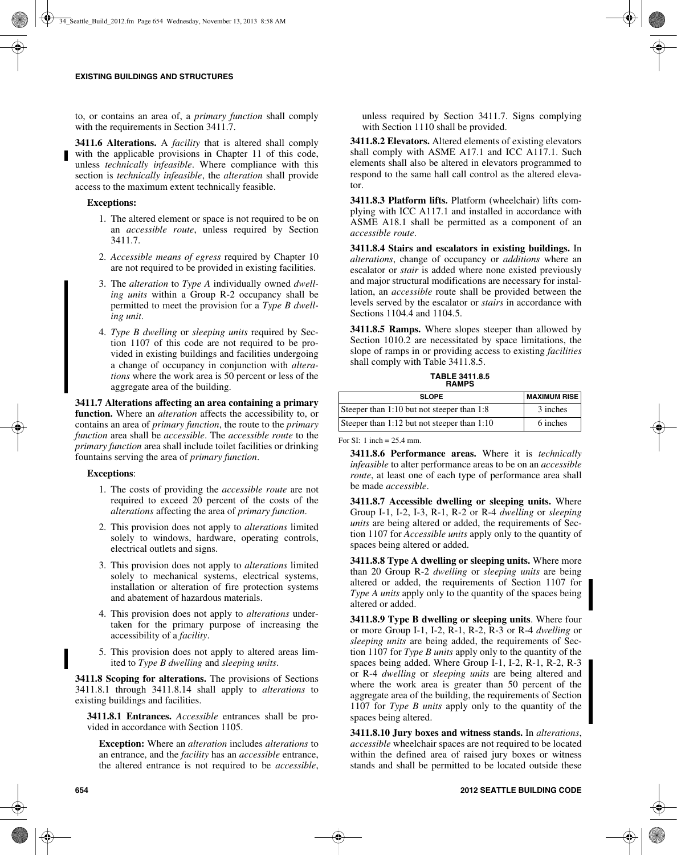to, or contains an area of, a *primary function* shall comply with the requirements in Section 3411.7.

**3411.6 Alterations.** A *facility* that is altered shall comply with the applicable provisions in Chapter 11 of this code, unless *technically infeasible*. Where compliance with this section is *technically infeasible*, the *alteration* shall provide access to the maximum extent technically feasible.

### **Exceptions:**

- 1. The altered element or space is not required to be on an *accessible route*, unless required by Section 3411.7.
- 2. *Accessible means of egress* required by Chapter 10 are not required to be provided in existing facilities.
- 3. The *alteration* to *Type A* individually owned *dwelling units* within a Group R-2 occupancy shall be permitted to meet the provision for a *Type B dwelling unit*.
- 4. *Type B dwelling* or *sleeping units* required by Section 1107 of this code are not required to be provided in existing buildings and facilities undergoing a change of occupancy in conjunction with *alterations* where the work area is 50 percent or less of the aggregate area of the building.

**3411.7 Alterations affecting an area containing a primary function.** Where an *alteration* affects the accessibility to, or contains an area of *primary function*, the route to the *primary function* area shall be *accessible*. The *accessible route* to the *primary function* area shall include toilet facilities or drinking fountains serving the area of *primary function*.

#### **Exceptions**:

- 1. The costs of providing the *accessible route* are not required to exceed 20 percent of the costs of the *alterations* affecting the area of *primary function*.
- 2. This provision does not apply to *alterations* limited solely to windows, hardware, operating controls, electrical outlets and signs.
- 3. This provision does not apply to *alterations* limited solely to mechanical systems, electrical systems, installation or alteration of fire protection systems and abatement of hazardous materials.
- 4. This provision does not apply to *alterations* undertaken for the primary purpose of increasing the accessibility of a *facility*.
- 5. This provision does not apply to altered areas limited to *Type B dwelling* and *sleeping units*.

**3411.8 Scoping for alterations.** The provisions of Sections 3411.8.1 through 3411.8.14 shall apply to *alterations* to existing buildings and facilities.

**3411.8.1 Entrances.** *Accessible* entrances shall be provided in accordance with Section 1105.

**Exception:** Where an *alteration* includes *alterations* to an entrance, and the *facility* has an *accessible* entrance, the altered entrance is not required to be *accessible*, unless required by Section 3411.7. Signs complying with Section 1110 shall be provided.

**3411.8.2 Elevators.** Altered elements of existing elevators shall comply with ASME A17.1 and ICC A117.1. Such elements shall also be altered in elevators programmed to respond to the same hall call control as the altered elevator.

**3411.8.3 Platform lifts.** Platform (wheelchair) lifts complying with ICC A117.1 and installed in accordance with ASME A18.1 shall be permitted as a component of an *accessible route*.

**3411.8.4 Stairs and escalators in existing buildings.** In *alterations*, change of occupancy or *additions* where an escalator or *stair* is added where none existed previously and major structural modifications are necessary for installation, an *accessible* route shall be provided between the levels served by the escalator or *stairs* in accordance with Sections 1104.4 and 1104.5.

**3411.8.5 Ramps.** Where slopes steeper than allowed by Section 1010.2 are necessitated by space limitations, the slope of ramps in or providing access to existing *facilities* shall comply with Table 3411.8.5.

**TABLE 3411.8.5 RAMPS**

| <b>SLOPE</b>                                | <b>MAXIMUM RISE</b> |
|---------------------------------------------|---------------------|
| Steeper than 1:10 but not steeper than 1:8  | 3 inches            |
| Steeper than 1:12 but not steeper than 1:10 | 6 inches            |

For SI: 1 inch = 25.4 mm.

**3411.8.6 Performance areas.** Where it is *technically infeasible* to alter performance areas to be on an *accessible route*, at least one of each type of performance area shall be made *accessible*.

**3411.8.7 Accessible dwelling or sleeping units.** Where Group I-1, I-2, I-3, R-1, R-2 or R-4 *dwelling* or *sleeping units* are being altered or added, the requirements of Section 1107 for *Accessible units* apply only to the quantity of spaces being altered or added.

**3411.8.8 Type A dwelling or sleeping units.** Where more than 20 Group R-2 *dwelling* or *sleeping units* are being altered or added, the requirements of Section 1107 for *Type A units* apply only to the quantity of the spaces being altered or added.

**3411.8.9 Type B dwelling or sleeping units**. Where four or more Group I-1, I-2, R-1, R-2, R-3 or R-4 *dwelling* or *sleeping units* are being added, the requirements of Section 1107 for *Type B units* apply only to the quantity of the spaces being added. Where Group I-1, I-2, R-1, R-2, R-3 or R-4 *dwelling* or *sleeping units* are being altered and where the work area is greater than 50 percent of the aggregate area of the building, the requirements of Section 1107 for *Type B units* apply only to the quantity of the spaces being altered.

**3411.8.10 Jury boxes and witness stands.** In *alterations*, *accessible* wheelchair spaces are not required to be located within the defined area of raised jury boxes or witness stands and shall be permitted to be located outside these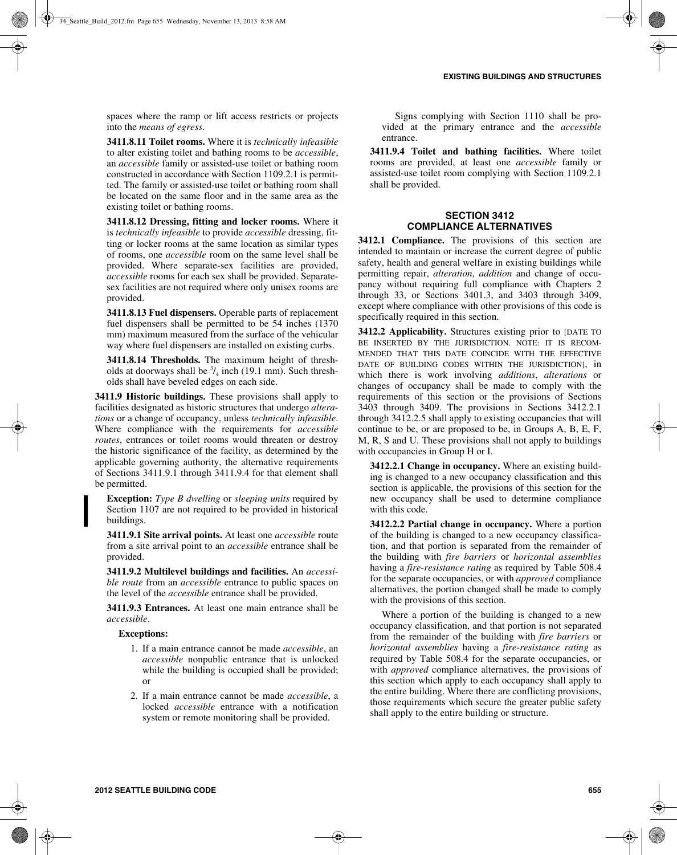spaces where the ramp or lift access restricts or projects into the *means of egress*.

**3411.8.11 Toilet rooms.** Where it is *technically infeasible* to alter existing toilet and bathing rooms to be *accessible*, an *accessible* family or assisted-use toilet or bathing room constructed in accordance with Section 1109.2.1 is permitted. The family or assisted-use toilet or bathing room shall be located on the same floor and in the same area as the existing toilet or bathing rooms.

**3411.8.12 Dressing, fitting and locker rooms.** Where it is *technically infeasible* to provide *accessible* dressing, fitting or locker rooms at the same location as similar types of rooms, one *accessible* room on the same level shall be provided. Where separate-sex facilities are provided, *accessible* rooms for each sex shall be provided. Separatesex facilities are not required where only unisex rooms are provided.

**3411.8.13 Fuel dispensers.** Operable parts of replacement fuel dispensers shall be permitted to be 54 inches (1370 mm) maximum measured from the surface of the vehicular way where fuel dispensers are installed on existing curbs.

**3411.8.14 Thresholds.** The maximum height of thresholds at doorways shall be  $\frac{3}{4}$  inch (19.1 mm). Such thresholds shall have beveled edges on each side.

**3411.9 Historic buildings.** These provisions shall apply to facilities designated as historic structures that undergo *alterations* or a change of occupancy, unless *technically infeasible*. Where compliance with the requirements for *accessible routes*, entrances or toilet rooms would threaten or destroy the historic significance of the facility, as determined by the applicable governing authority, the alternative requirements of Sections 3411.9.1 through 3411.9.4 for that element shall be permitted.

**Exception:** *Type B dwelling* or *sleeping units* required by Section 1107 are not required to be provided in historical buildings.

**3411.9.1 Site arrival points.** At least one *accessible* route from a site arrival point to an *accessible* entrance shall be provided.

**3411.9.2 Multilevel buildings and facilities.** An *accessible route* from an *accessible* entrance to public spaces on the level of the *accessible* entrance shall be provided.

**3411.9.3 Entrances.** At least one main entrance shall be *accessible*.

#### **Exceptions:**

- 1. If a main entrance cannot be made *accessible*, an *accessible* nonpublic entrance that is unlocked while the building is occupied shall be provided; or
- 2. If a main entrance cannot be made *accessible*, a locked *accessible* entrance with a notification system or remote monitoring shall be provided.

Signs complying with Section 1110 shall be provided at the primary entrance and the *accessible* entrance.

**3411.9.4 Toilet and bathing facilities.** Where toilet rooms are provided, at least one *accessible* family or assisted-use toilet room complying with Section 1109.2.1 shall be provided.

### **SECTION 3412 COMPLIANCE ALTERNATIVES**

**3412.1 Compliance.** The provisions of this section are intended to maintain or increase the current degree of public safety, health and general welfare in existing buildings while permitting repair, *alteration*, *addition* and change of occupancy without requiring full compliance with Chapters 2 through 33, or Sections 3401.3, and 3403 through 3409, except where compliance with other provisions of this code is specifically required in this section.

**3412.2 Applicability.** Structures existing prior to [DATE TO BE INSERTED BY THE JURISDICTION. NOTE: IT IS RECOM-MENDED THAT THIS DATE COINCIDE WITH THE EFFECTIVE DATE OF BUILDING CODES WITHIN THE JURISDICTION], in which there is work involving *additions*, *alterations* or changes of occupancy shall be made to comply with the requirements of this section or the provisions of Sections 3403 through 3409. The provisions in Sections 3412.2.1 through 3412.2.5 shall apply to existing occupancies that will continue to be, or are proposed to be, in Groups A, B, E, F, M, R, S and U. These provisions shall not apply to buildings with occupancies in Group H or I.

**3412.2.1 Change in occupancy.** Where an existing building is changed to a new occupancy classification and this section is applicable, the provisions of this section for the new occupancy shall be used to determine compliance with this code.

**3412.2.2 Partial change in occupancy.** Where a portion of the building is changed to a new occupancy classification, and that portion is separated from the remainder of the building with *fire barriers* or *horizontal assemblies* having a *fire-resistance rating* as required by Table 508.4 for the separate occupancies, or with *approved* compliance alternatives, the portion changed shall be made to comply with the provisions of this section.

Where a portion of the building is changed to a new occupancy classification, and that portion is not separated from the remainder of the building with *fire barriers* or *horizontal assemblies* having a *fire-resistance rating* as required by Table 508.4 for the separate occupancies, or with *approved* compliance alternatives, the provisions of this section which apply to each occupancy shall apply to the entire building. Where there are conflicting provisions, those requirements which secure the greater public safety shall apply to the entire building or structure.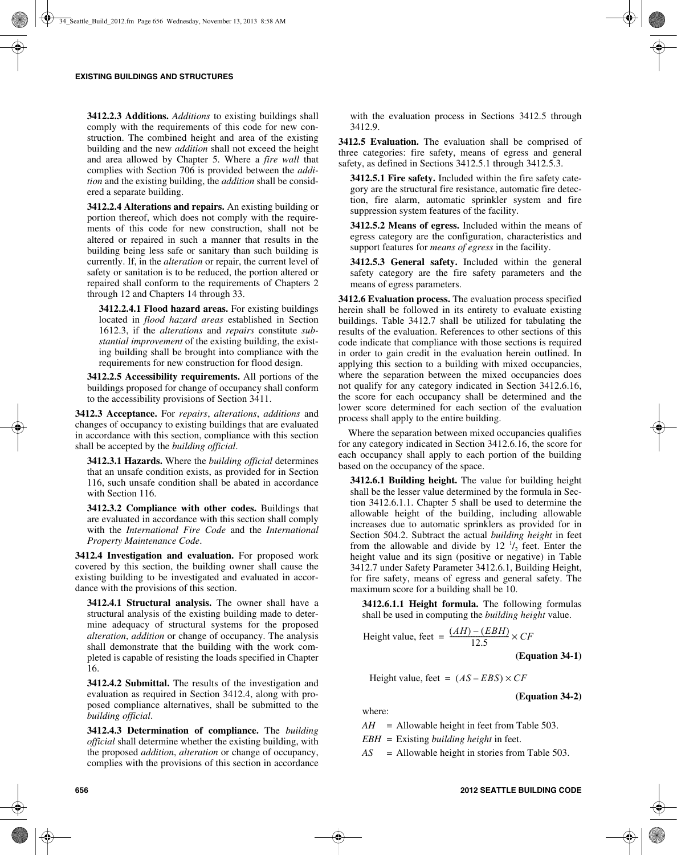**3412.2.3 Additions.** *Additions* to existing buildings shall comply with the requirements of this code for new construction. The combined height and area of the existing building and the new *addition* shall not exceed the height and area allowed by Chapter 5. Where a *fire wall* that complies with Section 706 is provided between the *addition* and the existing building, the *addition* shall be considered a separate building.

**3412.2.4 Alterations and repairs.** An existing building or portion thereof, which does not comply with the requirements of this code for new construction, shall not be altered or repaired in such a manner that results in the building being less safe or sanitary than such building is currently. If, in the *alteration* or repair, the current level of safety or sanitation is to be reduced, the portion altered or repaired shall conform to the requirements of Chapters 2 through 12 and Chapters 14 through 33.

**3412.2.4.1 Flood hazard areas.** For existing buildings located in *flood hazard areas* established in Section 1612.3, if the *alterations* and *repairs* constitute *substantial improvement* of the existing building, the existing building shall be brought into compliance with the requirements for new construction for flood design.

**3412.2.5 Accessibility requirements.** All portions of the buildings proposed for change of occupancy shall conform to the accessibility provisions of Section 3411.

**3412.3 Acceptance.** For *repairs*, *alterations*, *additions* and changes of occupancy to existing buildings that are evaluated in accordance with this section, compliance with this section shall be accepted by the *building official*.

**3412.3.1 Hazards.** Where the *building official* determines that an unsafe condition exists, as provided for in Section 116, such unsafe condition shall be abated in accordance with Section 116.

**3412.3.2 Compliance with other codes.** Buildings that are evaluated in accordance with this section shall comply with the *International Fire Code* and the *International Property Maintenance Code*.

**3412.4 Investigation and evaluation.** For proposed work covered by this section, the building owner shall cause the existing building to be investigated and evaluated in accordance with the provisions of this section.

**3412.4.1 Structural analysis.** The owner shall have a structural analysis of the existing building made to determine adequacy of structural systems for the proposed *alteration*, *addition* or change of occupancy. The analysis shall demonstrate that the building with the work completed is capable of resisting the loads specified in Chapter 16.

**3412.4.2 Submittal.** The results of the investigation and evaluation as required in Section 3412.4, along with proposed compliance alternatives, shall be submitted to the *building official*.

**3412.4.3 Determination of compliance.** The *building official* shall determine whether the existing building, with the proposed *addition*, *alteration* or change of occupancy, complies with the provisions of this section in accordance with the evaluation process in Sections 3412.5 through 3412.9.

**3412.5 Evaluation.** The evaluation shall be comprised of three categories: fire safety, means of egress and general safety, as defined in Sections 3412.5.1 through 3412.5.3.

**3412.5.1 Fire safety.** Included within the fire safety category are the structural fire resistance, automatic fire detection, fire alarm, automatic sprinkler system and fire suppression system features of the facility.

**3412.5.2 Means of egress.** Included within the means of egress category are the configuration, characteristics and support features for *means of egress* in the facility.

**3412.5.3 General safety.** Included within the general safety category are the fire safety parameters and the means of egress parameters.

**3412.6 Evaluation process.** The evaluation process specified herein shall be followed in its entirety to evaluate existing buildings. Table 3412.7 shall be utilized for tabulating the results of the evaluation. References to other sections of this code indicate that compliance with those sections is required in order to gain credit in the evaluation herein outlined. In applying this section to a building with mixed occupancies, where the separation between the mixed occupancies does not qualify for any category indicated in Section 3412.6.16, the score for each occupancy shall be determined and the lower score determined for each section of the evaluation process shall apply to the entire building.

Where the separation between mixed occupancies qualifies for any category indicated in Section 3412.6.16, the score for each occupancy shall apply to each portion of the building based on the occupancy of the space.

**3412.6.1 Building height.** The value for building height shall be the lesser value determined by the formula in Section 3412.6.1.1. Chapter 5 shall be used to determine the allowable height of the building, including allowable increases due to automatic sprinklers as provided for in Section 504.2. Subtract the actual *building height* in feet from the allowable and divide by  $12^{-1/2}$  feet. Enter the height value and its sign (positive or negative) in Table 3412.7 under Safety Parameter 3412.6.1, Building Height, for fire safety, means of egress and general safety. The maximum score for a building shall be 10.

**3412.6.1.1 Height formula.** The following formulas shall be used in computing the *building height* value.

Height value, feet = 
$$
\frac{(AH) - (EBH)}{12.5} \times CF
$$

**(Equation 34-1)**

Height value, feet =  $(AS - EBS) \times CF$ 

**(Equation 34-2)**

where:

 $AH$  = Allowable height in feet from Table 503.

*EBH* = Existing *building height* in feet.

*AS* = Allowable height in stories from Table 503.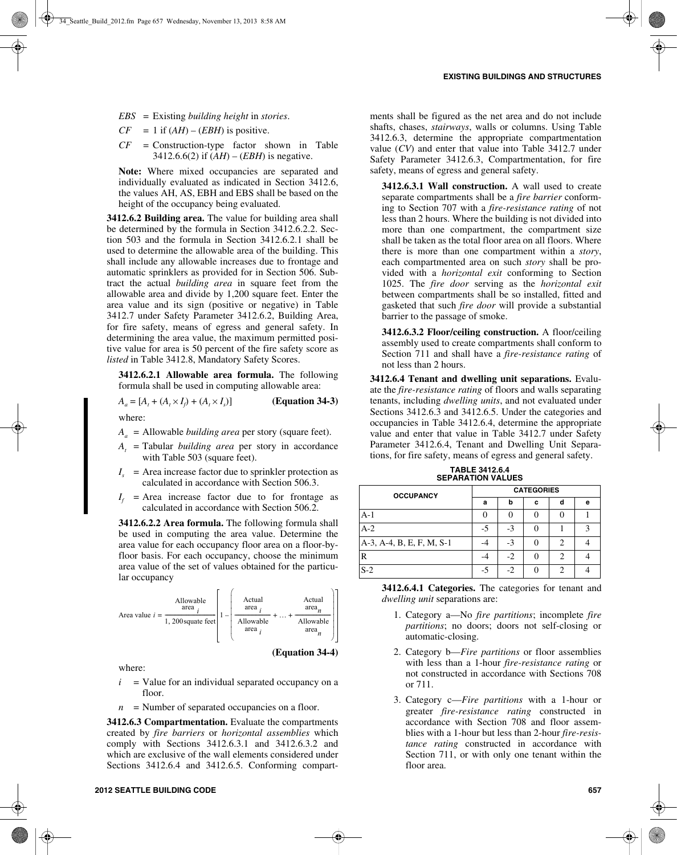- *EBS* = Existing *building height* in *stories*.
- $CF = 1$  if  $(AH) (EBH)$  is positive.
- *CF* = Construction-type factor shown in Table 3412.6.6(2) if  $(AH) - (EBH)$  is negative.

**Note:** Where mixed occupancies are separated and individually evaluated as indicated in Section 3412.6, the values AH, AS, EBH and EBS shall be based on the height of the occupancy being evaluated.

**3412.6.2 Building area.** The value for building area shall be determined by the formula in Section 3412.6.2.2. Section 503 and the formula in Section 3412.6.2.1 shall be used to determine the allowable area of the building. This shall include any allowable increases due to frontage and automatic sprinklers as provided for in Section 506. Subtract the actual *building area* in square feet from the allowable area and divide by 1,200 square feet. Enter the area value and its sign (positive or negative) in Table 3412.7 under Safety Parameter 3412.6.2, Building Area, for fire safety, means of egress and general safety. In determining the area value, the maximum permitted positive value for area is 50 percent of the fire safety score as *listed* in Table 3412.8, Mandatory Safety Scores.

**3412.6.2.1 Allowable area formula.** The following formula shall be used in computing allowable area:

$$
A_a = [A_t + (A_t \times I_f) + (A_t \times I_s)]
$$
 (Equation 34-3)

where:

- *Aa* = Allowable *building area* per story (square feet).
- *At* = Tabular *building area* per story in accordance with Table 503 (square feet).
- $I<sub>s</sub>$  = Area increase factor due to sprinkler protection as calculated in accordance with Section 506.3.
- $I_f$  = Area increase factor due to for frontage as calculated in accordance with Section 506.2.

**3412.6.2.2 Area formula.** The following formula shall be used in computing the area value. Determine the area value for each occupancy floor area on a floor-byfloor basis. For each occupancy, choose the minimum area value of the set of values obtained for the particular occupancy



where:

- $i =$  Value for an individual separated occupancy on a floor.
- $n =$  Number of separated occupancies on a floor.

**3412.6.3 Compartmentation.** Evaluate the compartments created by *fire barriers* or *horizontal assemblies* which comply with Sections 3412.6.3.1 and 3412.6.3.2 and which are exclusive of the wall elements considered under Sections 3412.6.4 and 3412.6.5. Conforming compartments shall be figured as the net area and do not include shafts, chases, *stairways*, walls or columns. Using Table 3412.6.3, determine the appropriate compartmentation value (*CV*) and enter that value into Table 3412.7 under Safety Parameter 3412.6.3, Compartmentation, for fire safety, means of egress and general safety.

**3412.6.3.1 Wall construction.** A wall used to create separate compartments shall be a *fire barrier* conforming to Section 707 with a *fire-resistance rating* of not less than 2 hours. Where the building is not divided into more than one compartment, the compartment size shall be taken as the total floor area on all floors. Where there is more than one compartment within a *story*, each compartmented area on such *story* shall be provided with a *horizontal exit* conforming to Section 1025. The *fire door* serving as the *horizontal exit* between compartments shall be so installed, fitted and gasketed that such *fire door* will provide a substantial barrier to the passage of smoke.

**3412.6.3.2 Floor/ceiling construction.** A floor/ceiling assembly used to create compartments shall conform to Section 711 and shall have a *fire-resistance rating* of not less than 2 hours.

**3412.6.4 Tenant and dwelling unit separations.** Evaluate the *fire-resistance rating* of floors and walls separating tenants, including *dwelling units*, and not evaluated under Sections 3412.6.3 and 3412.6.5. Under the categories and occupancies in Table 3412.6.4, determine the appropriate value and enter that value in Table 3412.7 under Safety Parameter 3412.6.4, Tenant and Dwelling Unit Separations, for fire safety, means of egress and general safety.

**OCCUPANCY CATEGORIES abcde** A-1 0 0 0 0 1 A-2  $\begin{array}{|c|c|c|c|c|c|c|c|c|} \hline -5 & -3 & 0 & 1 & 3 \ \hline \end{array}$ 

A-3, A-4, B, E, F, M, S-1  $-4$   $-3$   $0$   $2$   $4$ R  $-4$   $-2$  0 2 4  $S-2$   $-5$   $-2$  0 2 4

**TABLE 3412.6.4 SEPARATION VALUES**

| 3412.6.4.1 Categories. The categories for tenant and |  |  |  |
|------------------------------------------------------|--|--|--|
| <i>dwelling unit separations are:</i>                |  |  |  |

- 1. Category a—No *fire partitions*; incomplete *fire partitions*; no doors; doors not self-closing or automatic-closing.
- 2. Category b—*Fire partitions* or floor assemblies with less than a 1-hour *fire-resistance rating* or not constructed in accordance with Sections 708 or 711.
- 3. Category c—*Fire partitions* with a 1-hour or greater *fire-resistance rating* constructed in accordance with Section 708 and floor assemblies with a 1-hour but less than 2-hour *fire-resistance rating* constructed in accordance with Section 711, or with only one tenant within the floor area.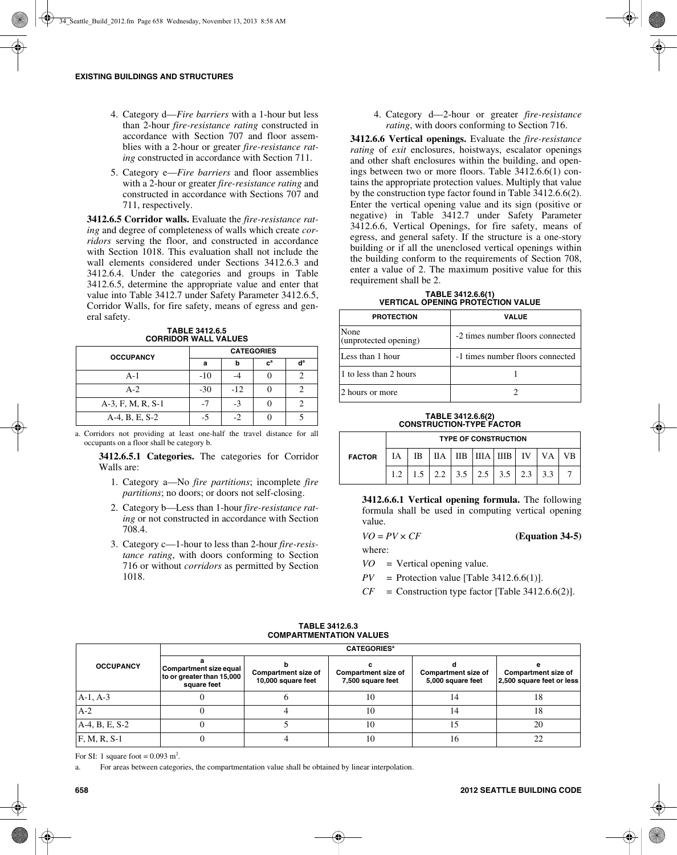- 4. Category d—*Fire barriers* with a 1-hour but less than 2-hour *fire-resistance rating* constructed in accordance with Section 707 and floor assemblies with a 2-hour or greater *fire-resistance rating* constructed in accordance with Section 711.
- 5. Category e—*Fire barriers* and floor assemblies with a 2-hour or greater *fire-resistance rating* and constructed in accordance with Sections 707 and 711, respectively.

**3412.6.5 Corridor walls.** Evaluate the *fire-resistance rating* and degree of completeness of walls which create *corridors* serving the floor, and constructed in accordance with Section 1018. This evaluation shall not include the wall elements considered under Sections 3412.6.3 and 3412.6.4. Under the categories and groups in Table 3412.6.5, determine the appropriate value and enter that value into Table 3412.7 under Safety Parameter 3412.6.5, Corridor Walls, for fire safety, means of egress and general safety.

**TABLE 3412.6.5 CORRIDOR WALL VALUES**

| <b>OCCUPANCY</b>  | <b>CATEGORIES</b> |       |                           |   |  |  |  |
|-------------------|-------------------|-------|---------------------------|---|--|--|--|
|                   | a                 |       | $\mathbf{c}^{\mathbf{a}}$ | ď |  |  |  |
| A-1               | $-10$             |       |                           |   |  |  |  |
| $A-2$             | $-30$             | $-12$ |                           |   |  |  |  |
| A-3, F, M, R, S-1 | -7                | $-3$  |                           |   |  |  |  |
| A-4, B, E, S-2    | -5                | - 2   |                           |   |  |  |  |

a. Corridors not providing at least one-half the travel distance for all occupants on a floor shall be category b.

**3412.6.5.1 Categories.** The categories for Corridor Walls are:

- 1. Category a—No *fire partitions*; incomplete *fire partitions*; no doors; or doors not self-closing.
- 2. Category b—Less than 1-hour *fire-resistance rating* or not constructed in accordance with Section 708.4.
- 3. Category c—1-hour to less than 2-hour *fire-resistance rating*, with doors conforming to Section 716 or without *corridors* as permitted by Section 1018.

4. Category d—2-hour or greater *fire-resistance rating*, with doors conforming to Section 716.

**3412.6.6 Vertical openings.** Evaluate the *fire-resistance rating* of *exit* enclosures, hoistways, escalator openings and other shaft enclosures within the building, and openings between two or more floors. Table 3412.6.6(1) contains the appropriate protection values. Multiply that value by the construction type factor found in Table 3412.6.6(2). Enter the vertical opening value and its sign (positive or negative) in Table 3412.7 under Safety Parameter 3412.6.6, Vertical Openings, for fire safety, means of egress, and general safety. If the structure is a one-story building or if all the unenclosed vertical openings within the building conform to the requirements of Section 708, enter a value of 2. The maximum positive value for this requirement shall be 2.

| TABLE 3412.6.6(1)                 |  |
|-----------------------------------|--|
| VERTICAL OPENING PROTECTION VALUE |  |

| <b>PROTECTION</b>             | <b>VALUE</b>                     |
|-------------------------------|----------------------------------|
| None<br>(unprotected opening) | -2 times number floors connected |
| Less than 1 hour              | -1 times number floors connected |
| 1 to less than 2 hours        |                                  |
| 2 hours or more               |                                  |

#### **TABLE 3412.6.6(2) CONSTRUCTION-TYPE FACTOR**

|               | <b>TYPE OF CONSTRUCTION</b> |    |                                           |  |  |                          |  |           |  |
|---------------|-----------------------------|----|-------------------------------------------|--|--|--------------------------|--|-----------|--|
| <b>FACTOR</b> | ĪА                          | ΙB | ПA                                        |  |  | I IIB I IIIA I IIIB I IV |  | <b>VA</b> |  |
|               |                             |    | $1.5$   2.2   3.5   2.5   3.5   2.3   3.3 |  |  |                          |  |           |  |

**3412.6.6.1 Vertical opening formula.** The following formula shall be used in computing vertical opening value.

$$
VO = PV \times CF
$$

where:

*VO* = Vertical opening value.

 $PV =$  Protection value [Table 3412.6.6(1)].

 $CF =$  Construction type factor [Table 3412.6.6(2)].

|                  |                                                                    | <b>CATEGORIES<sup>a</sup></b>                    |    |                                                                                      |    |  |                                                  |  |  |  |
|------------------|--------------------------------------------------------------------|--------------------------------------------------|----|--------------------------------------------------------------------------------------|----|--|--------------------------------------------------|--|--|--|
| <b>OCCUPANCY</b> | Compartment size equal<br>to or greater than 15,000<br>square feet | <b>Compartment size of</b><br>10,000 square feet |    | Compartment size of<br>Compartment size of<br>5,000 square feet<br>7,500 square feet |    |  | Compartment size of<br>2,500 square feet or less |  |  |  |
| $A-1, A-3$       |                                                                    |                                                  | 10 | <u>. 4</u>                                                                           | 18 |  |                                                  |  |  |  |
| $A-2$            |                                                                    |                                                  | 10 | 44                                                                                   | 18 |  |                                                  |  |  |  |
| A-4, B, E, S-2   |                                                                    |                                                  | 10 |                                                                                      | 20 |  |                                                  |  |  |  |
| $F, M, R, S-1$   |                                                                    |                                                  | 10 | 16                                                                                   | 22 |  |                                                  |  |  |  |

#### **TABLE 3412.6.3 COMPARTMENTATION VALUES**

For SI: 1 square foot =  $0.093$  m<sup>2</sup>.

a. For areas between categories, the compartmentation value shall be obtained by linear interpolation.

*VO* = *PV* × *CF* **(Equation 34-5)**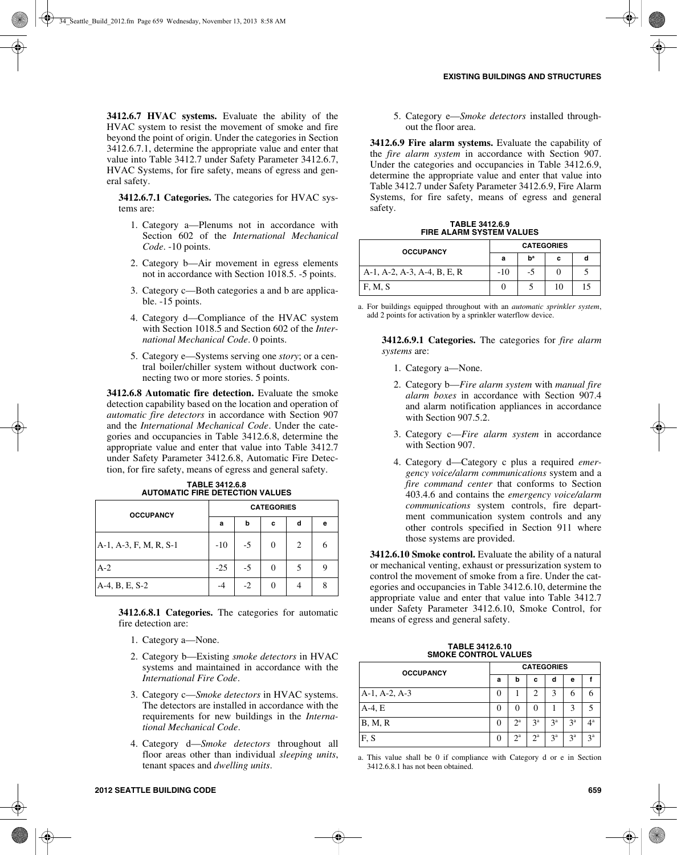**3412.6.7 HVAC systems.** Evaluate the ability of the HVAC system to resist the movement of smoke and fire beyond the point of origin. Under the categories in Section 3412.6.7.1, determine the appropriate value and enter that value into Table 3412.7 under Safety Parameter 3412.6.7, HVAC Systems, for fire safety, means of egress and general safety.

**3412.6.7.1 Categories.** The categories for HVAC systems are:

- 1. Category a—Plenums not in accordance with Section 602 of the *International Mechanical Code*. -10 points.
- 2. Category b—Air movement in egress elements not in accordance with Section 1018.5. -5 points.
- 3. Category c—Both categories a and b are applicable. -15 points.
- 4. Category d—Compliance of the HVAC system with Section 1018.5 and Section 602 of the *International Mechanical Code*. 0 points.
- 5. Category e—Systems serving one *story*; or a central boiler/chiller system without ductwork connecting two or more stories. 5 points.

**3412.6.8 Automatic fire detection.** Evaluate the smoke detection capability based on the location and operation of *automatic fire detectors* in accordance with Section 907 and the *International Mechanical Code*. Under the categories and occupancies in Table 3412.6.8, determine the appropriate value and enter that value into Table 3412.7 under Safety Parameter 3412.6.8, Automatic Fire Detection, for fire safety, means of egress and general safety.

| <b>OCCUPANCY</b>       | <b>CATEGORIES</b> |      |          |   |   |  |  |
|------------------------|-------------------|------|----------|---|---|--|--|
|                        | a                 | b    | c        | d | е |  |  |
| A-1, A-3, F, M, R, S-1 | $-10$             | $-5$ | $\Omega$ | 2 | 6 |  |  |
| $A-2$                  | $-25$             | $-5$ |          |   | 9 |  |  |
| $A-4, B, E, S-2$       |                   | $-2$ | 0        |   | 8 |  |  |

**TABLE 3412.6.8 AUTOMATIC FIRE DETECTION VALUES**

**3412.6.8.1 Categories.** The categories for automatic fire detection are:

- 1. Category a—None.
- 2. Category b—Existing *smoke detectors* in HVAC systems and maintained in accordance with the *International Fire Code*.
- 3. Category c—*Smoke detectors* in HVAC systems. The detectors are installed in accordance with the requirements for new buildings in the *International Mechanical Code*.
- 4. Category d—*Smoke detectors* throughout all floor areas other than individual *sleeping units*, tenant spaces and *dwelling units*.

5. Category e—*Smoke detectors* installed throughout the floor area.

**3412.6.9 Fire alarm systems.** Evaluate the capability of the *fire alarm system* in accordance with Section 907. Under the categories and occupancies in Table 3412.6.9, determine the appropriate value and enter that value into Table 3412.7 under Safety Parameter 3412.6.9, Fire Alarm Systems, for fire safety, means of egress and general safety.

| <b>TABLE 3412.6.9</b>           |
|---------------------------------|
| <b>FIRE ALARM SYSTEM VALUES</b> |

| <b>OCCUPANCY</b>            | <b>CATEGORIES</b> |       |    |    |  |  |  |
|-----------------------------|-------------------|-------|----|----|--|--|--|
|                             | а                 | $b^a$ | c  |    |  |  |  |
| A-1, A-2, A-3, A-4, B, E, R | $-10$             | -5    |    |    |  |  |  |
| F. M. S                     |                   |       | 10 | 15 |  |  |  |

a. For buildings equipped throughout with an *automatic sprinkler system*, add 2 points for activation by a sprinkler waterflow device.

**3412.6.9.1 Categories.** The categories for *fire alarm systems* are:

- 1. Category a—None.
- 2. Category b—*Fire alarm system* with *manual fire alarm boxes* in accordance with Section 907.4 and alarm notification appliances in accordance with Section 907.5.2.
- 3. Category c—*Fire alarm system* in accordance with Section 907.
- 4. Category d—Category c plus a required *emergency voice/alarm communications* system and a *fire command center* that conforms to Section 403.4.6 and contains the *emergency voice/alarm communications* system controls, fire department communication system controls and any other controls specified in Section 911 where those systems are provided.

**3412.6.10 Smoke control.** Evaluate the ability of a natural or mechanical venting, exhaust or pressurization system to control the movement of smoke from a fire. Under the categories and occupancies in Table 3412.6.10, determine the appropriate value and enter that value into Table 3412.7 under Safety Parameter 3412.6.10, Smoke Control, for means of egress and general safety.

**TABLE 3412.6.10 SMOKE CONTROL VALUES**

| <b>OCCUPANCY</b> | <b>CATEGORIES</b> |             |                  |                |                |                |  |
|------------------|-------------------|-------------|------------------|----------------|----------------|----------------|--|
|                  | а                 | b           | c                | d              | е              |                |  |
| $A-1, A-2, A-3$  |                   |             | 2                | 3              | 6              |                |  |
| $A-4, E$         |                   |             | $\left( \right)$ |                | 3              |                |  |
| B, M, R          |                   | $2^{\rm a}$ | 3 <sup>a</sup>   | 3 <sup>a</sup> | 3 <sup>a</sup> | $4^{\rm a}$    |  |
| F.S              |                   | $2^a$       | $2^a$            | 3 <sup>a</sup> | 3 <sup>a</sup> | 3 <sup>a</sup> |  |

a. This value shall be 0 if compliance with Category d or e in Section 3412.6.8.1 has not been obtained.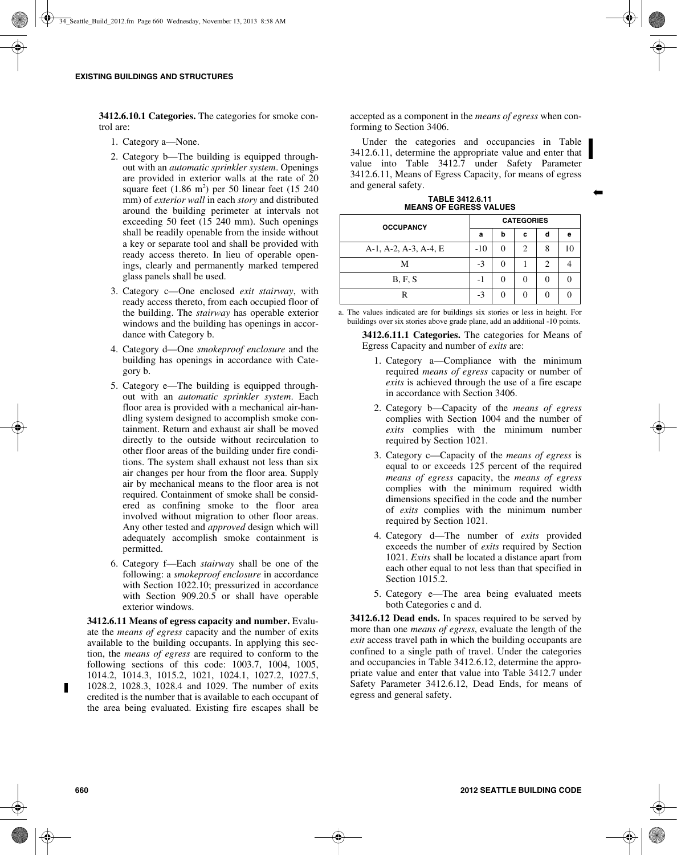**3412.6.10.1 Categories.** The categories for smoke control are:

- 1. Category a—None.
- 2. Category b—The building is equipped throughout with an *automatic sprinkler system*. Openings are provided in exterior walls at the rate of 20 square feet  $(1.86 \text{ m}^2)$  per 50 linear feet  $(15 \text{ } 240)$ mm) of *exterior wall* in each *story* and distributed around the building perimeter at intervals not exceeding 50 feet (15 240 mm). Such openings shall be readily openable from the inside without a key or separate tool and shall be provided with ready access thereto. In lieu of operable openings, clearly and permanently marked tempered glass panels shall be used.
- 3. Category c—One enclosed *exit stairway*, with ready access thereto, from each occupied floor of the building. The *stairway* has operable exterior windows and the building has openings in accordance with Category b.
- 4. Category d—One *smokeproof enclosure* and the building has openings in accordance with Category b.
- 5. Category e—The building is equipped throughout with an *automatic sprinkler system*. Each floor area is provided with a mechanical air-handling system designed to accomplish smoke containment. Return and exhaust air shall be moved directly to the outside without recirculation to other floor areas of the building under fire conditions. The system shall exhaust not less than six air changes per hour from the floor area. Supply air by mechanical means to the floor area is not required. Containment of smoke shall be considered as confining smoke to the floor area involved without migration to other floor areas. Any other tested and *approved* design which will adequately accomplish smoke containment is permitted.
- 6. Category f—Each *stairway* shall be one of the following: a *smokeproof enclosure* in accordance with Section 1022.10; pressurized in accordance with Section 909.20.5 or shall have operable exterior windows.

**3412.6.11 Means of egress capacity and number.** Evaluate the *means of egress* capacity and the number of exits available to the building occupants. In applying this section, the *means of egress* are required to conform to the following sections of this code: 1003.7, 1004, 1005, 1014.2, 1014.3, 1015.2, 1021, 1024.1, 1027.2, 1027.5, 1028.2, 1028.3, 1028.4 and 1029. The number of exits credited is the number that is available to each occupant of the area being evaluated. Existing fire escapes shall be accepted as a component in the *means of egress* when conforming to Section 3406.

Under the categories and occupancies in Table 3412.6.11, determine the appropriate value and enter that value into Table 3412.7 under Safety Parameter 3412.6.11, Means of Egress Capacity, for means of egress and general safety.

➡

**TABLE 3412.6.11 MEANS OF EGRESS VALUES**

| <b>OCCUPANCY</b>      | <b>CATEGORIES</b> |   |   |   |   |  |  |  |
|-----------------------|-------------------|---|---|---|---|--|--|--|
|                       | a                 | b | c | d | е |  |  |  |
| A-1, A-2, A-3, A-4, E | $-10$             |   | 2 | 8 |   |  |  |  |
| М                     | $-3$              |   |   | っ |   |  |  |  |
| B, F, S               | -1                |   |   |   |   |  |  |  |
|                       | $-3$              |   |   |   |   |  |  |  |

a. The values indicated are for buildings six stories or less in height. For buildings over six stories above grade plane, add an additional -10 points.

**3412.6.11.1 Categories.** The categories for Means of Egress Capacity and number of *exits* are:

- 1. Category a—Compliance with the minimum required *means of egress* capacity or number of *exits* is achieved through the use of a fire escape in accordance with Section 3406.
- 2. Category b—Capacity of the *means of egress* complies with Section 1004 and the number of *exits* complies with the minimum number required by Section 1021.
- 3. Category c—Capacity of the *means of egress* is equal to or exceeds 125 percent of the required *means of egress* capacity, the *means of egress* complies with the minimum required width dimensions specified in the code and the number of *exits* complies with the minimum number required by Section 1021.
- 4. Category d—The number of *exits* provided exceeds the number of *exits* required by Section 1021. *Exits* shall be located a distance apart from each other equal to not less than that specified in Section 1015.2.
- 5. Category e—The area being evaluated meets both Categories c and d.

**3412.6.12 Dead ends.** In spaces required to be served by more than one *means of egress*, evaluate the length of the *exit* access travel path in which the building occupants are confined to a single path of travel. Under the categories and occupancies in Table 3412.6.12, determine the appropriate value and enter that value into Table 3412.7 under Safety Parameter 3412.6.12, Dead Ends, for means of egress and general safety.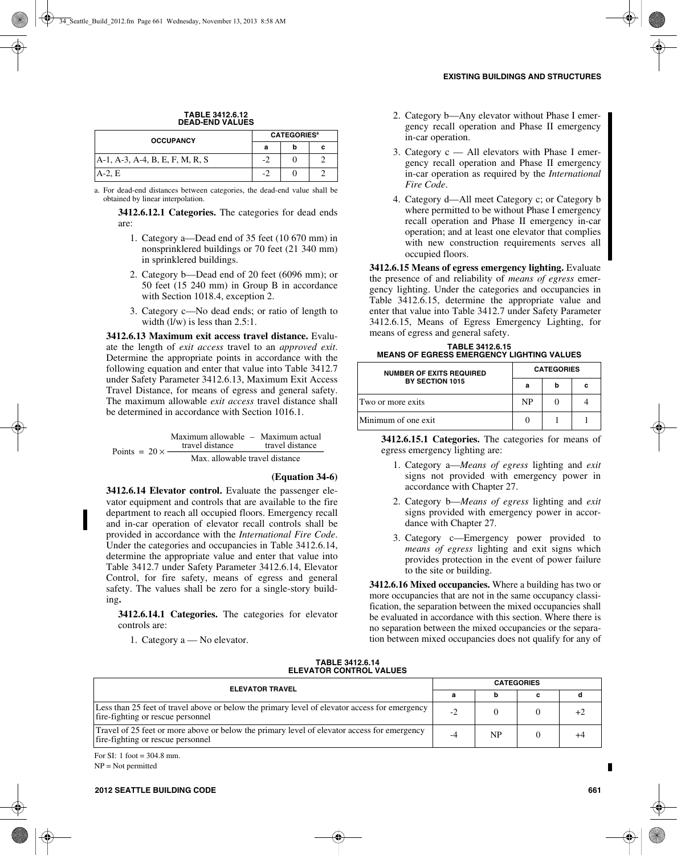## **TABLE 3412.6.12 DEAD-END VALUES**

| <b>OCCUPANCY</b>                | <b>CATEGORIES<sup>a</sup></b> |  |  |  |  |
|---------------------------------|-------------------------------|--|--|--|--|
|                                 |                               |  |  |  |  |
| A-1, A-3, A-4, B, E, F, M, R, S | ш.                            |  |  |  |  |
| $A-2.E$                         |                               |  |  |  |  |

a. For dead-end distances between categories, the dead-end value shall be obtained by linear interpolation.

**3412.6.12.1 Categories.** The categories for dead ends are:

- 1. Category a—Dead end of 35 feet (10 670 mm) in nonsprinklered buildings or 70 feet (21 340 mm) in sprinklered buildings.
- 2. Category b—Dead end of 20 feet (6096 mm); or 50 feet (15 240 mm) in Group B in accordance with Section 1018.4, exception 2.
- 3. Category c—No dead ends; or ratio of length to width  $(l/w)$  is less than  $2.5:1$ .

**3412.6.13 Maximum exit access travel distance.** Evaluate the length of *exit access* travel to an *approved exit*. Determine the appropriate points in accordance with the following equation and enter that value into Table 3412.7 under Safety Parameter 3412.6.13, Maximum Exit Access Travel Distance, for means of egress and general safety. The maximum allowable *exit access* travel distance shall be determined in accordance with Section 1016.1.

Points =  $20 \times -$ Maximum allowable Maximum actual travel distance – travel distance wel distance travel distance<br>Max. allowable travel distance

## **(Equation 34-6)**

**3412.6.14 Elevator control.** Evaluate the passenger elevator equipment and controls that are available to the fire department to reach all occupied floors. Emergency recall and in-car operation of elevator recall controls shall be provided in accordance with the *International Fire Code*. Under the categories and occupancies in Table 3412.6.14, determine the appropriate value and enter that value into Table 3412.7 under Safety Parameter 3412.6.14, Elevator Control, for fire safety, means of egress and general safety. The values shall be zero for a single-story building**.** 

**3412.6.14.1 Categories.** The categories for elevator controls are:

1. Category a — No elevator.

- 2. Category b—Any elevator without Phase I emergency recall operation and Phase II emergency in-car operation.
- 3. Category c All elevators with Phase I emergency recall operation and Phase II emergency in-car operation as required by the *International Fire Code*.
- 4. Category d—All meet Category c; or Category b where permitted to be without Phase I emergency recall operation and Phase II emergency in-car operation; and at least one elevator that complies with new construction requirements serves all occupied floors.

**3412.6.15 Means of egress emergency lighting.** Evaluate the presence of and reliability of *means of egress* emergency lighting. Under the categories and occupancies in Table 3412.6.15, determine the appropriate value and enter that value into Table 3412.7 under Safety Parameter 3412.6.15, Means of Egress Emergency Lighting, for means of egress and general safety.

# **TABLE 3412.6.15 MEANS OF EGRESS EMERGENCY LIGHTING VALUES**

| <b>NUMBER OF EXITS REQUIRED</b> | <b>CATEGORIES</b> |   |   |  |  |
|---------------------------------|-------------------|---|---|--|--|
| BY SECTION 1015                 | a                 | h | с |  |  |
| Two or more exits               | NP                |   |   |  |  |
| l Minimum of one exit           |                   |   |   |  |  |

**3412.6.15.1 Categories.** The categories for means of egress emergency lighting are:

- 1. Category a—*Means of egress* lighting and *exit* signs not provided with emergency power in accordance with Chapter 27.
- 2. Category b—*Means of egress* lighting and *exit* signs provided with emergency power in accordance with Chapter 27.
- 3. Category c—Emergency power provided to *means of egress* lighting and exit signs which provides protection in the event of power failure to the site or building.

**3412.6.16 Mixed occupancies.** Where a building has two or more occupancies that are not in the same occupancy classification, the separation between the mixed occupancies shall be evaluated in accordance with this section. Where there is no separation between the mixed occupancies or the separation between mixed occupancies does not qualify for any of

| <b>CATEGORIES</b> |           |  |    |  |  |
|-------------------|-----------|--|----|--|--|
|                   |           |  |    |  |  |
| $-2$              |           |  | +2 |  |  |
| $-4$              | <b>NP</b> |  | +4 |  |  |
|                   |           |  |    |  |  |

**TABLE 3412.6.14**

For SI: 1 foot = 304.8 mm. NP = Not permitted

Г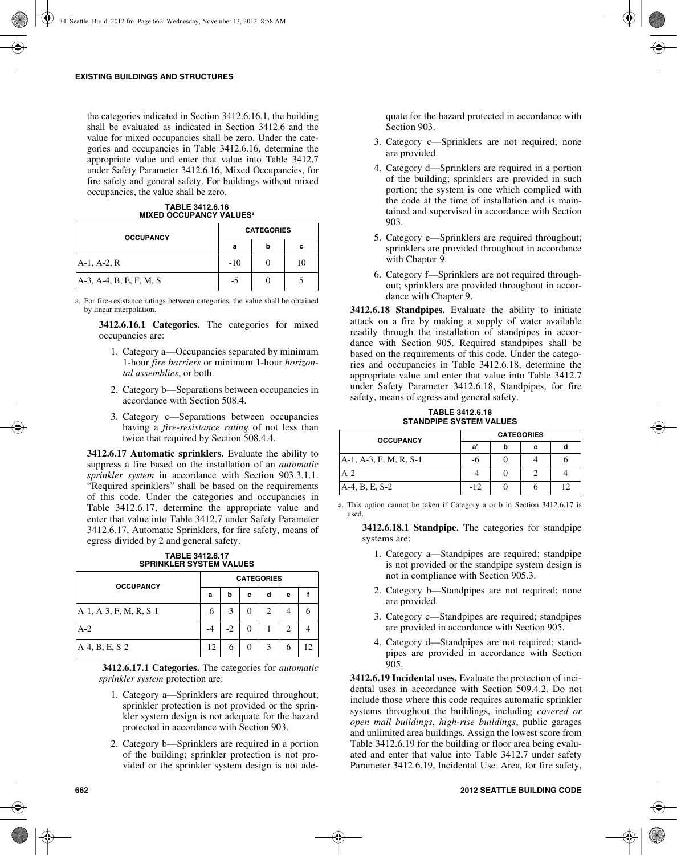the categories indicated in Section 3412.6.16.1, the building shall be evaluated as indicated in Section 3412.6 and the value for mixed occupancies shall be zero. Under the categories and occupancies in Table 3412.6.16, determine the appropriate value and enter that value into Table 3412.7 under Safety Parameter 3412.6.16, Mixed Occupancies, for fire safety and general safety. For buildings without mixed occupancies, the value shall be zero.

**TABLE 3412.6.16 MIXED OCCUPANCY VALUES<sup>a</sup>** 

| <b>OCCUPANCY</b>        | <b>CATEGORIES</b> |   |    |  |  |
|-------------------------|-------------------|---|----|--|--|
|                         | а                 | b | c  |  |  |
| $A-1, A-2, R$           | $-10$             |   | 10 |  |  |
| A-3, A-4, B, E, F, M, S | $-5$              |   |    |  |  |

a. For fire-resistance ratings between categories, the value shall be obtained by linear interpolation.

**3412.6.16.1 Categories.** The categories for mixed occupancies are:

- 1. Category a—Occupancies separated by minimum 1-hour *fire barriers* or minimum 1-hour *horizontal assemblies*, or both.
- 2. Category b—Separations between occupancies in accordance with Section 508.4.
- 3. Category c—Separations between occupancies having a *fire-resistance rating* of not less than twice that required by Section 508.4.4.

**3412.6.17 Automatic sprinklers.** Evaluate the ability to suppress a fire based on the installation of an *automatic sprinkler system* in accordance with Section 903.3.1.1. "Required sprinklers" shall be based on the requirements of this code. Under the categories and occupancies in Table 3412.6.17, determine the appropriate value and enter that value into Table 3412.7 under Safety Parameter 3412.6.17, Automatic Sprinklers, for fire safety, means of egress divided by 2 and general safety.

| <b>TABLE 3412.6.17</b>         |  |
|--------------------------------|--|
| <b>SPRINKLER SYSTEM VALUES</b> |  |

| <b>OCCUPANCY</b>       |       | <b>CATEGORIES</b> |   |   |                |  |  |  |
|------------------------|-------|-------------------|---|---|----------------|--|--|--|
|                        | а     | b                 | c | d | е              |  |  |  |
| A-1, A-3, F, M, R, S-1 | -6    | $-3$              |   | 2 |                |  |  |  |
| $A-2$                  |       | $-2$              |   |   | $\mathfrak{2}$ |  |  |  |
| A-4, B, E, S-2         | $-12$ | -6                |   | 3 | 6              |  |  |  |

**3412.6.17.1 Categories.** The categories for *automatic sprinkler system* protection are:

- 1. Category a—Sprinklers are required throughout; sprinkler protection is not provided or the sprinkler system design is not adequate for the hazard protected in accordance with Section 903.
- 2. Category b—Sprinklers are required in a portion of the building; sprinkler protection is not provided or the sprinkler system design is not ade-

quate for the hazard protected in accordance with Section 903.

- 3. Category c—Sprinklers are not required; none are provided.
- 4. Category d—Sprinklers are required in a portion of the building; sprinklers are provided in such portion; the system is one which complied with the code at the time of installation and is maintained and supervised in accordance with Section 903.
- 5. Category e—Sprinklers are required throughout; sprinklers are provided throughout in accordance with Chapter 9.
- 6. Category f—Sprinklers are not required throughout; sprinklers are provided throughout in accordance with Chapter 9.

**3412.6.18 Standpipes.** Evaluate the ability to initiate attack on a fire by making a supply of water available readily through the installation of standpipes in accordance with Section 905. Required standpipes shall be based on the requirements of this code. Under the categories and occupancies in Table 3412.6.18, determine the appropriate value and enter that value into Table 3412.7 under Safety Parameter 3412.6.18, Standpipes, for fire safety, means of egress and general safety.

**TABLE 3412.6.18 STANDPIPE SYSTEM VALUES**

| <b>OCCUPANCY</b>       | <b>CATEGORIES</b> |  |   |    |  |  |  |
|------------------------|-------------------|--|---|----|--|--|--|
|                        | $a^a$             |  | с |    |  |  |  |
| A-1, A-3, F, M, R, S-1 |                   |  |   |    |  |  |  |
| $A-2$                  |                   |  |   |    |  |  |  |
| A-4, B, E, S-2         | $-12$             |  |   | 10 |  |  |  |

a. This option cannot be taken if Category a or b in Section 3412.6.17 is used.

**3412.6.18.1 Standpipe.** The categories for standpipe systems are:

- 1. Category a—Standpipes are required; standpipe is not provided or the standpipe system design is not in compliance with Section 905.3.
- 2. Category b—Standpipes are not required; none are provided.
- 3. Category c—Standpipes are required; standpipes are provided in accordance with Section 905.
- 4. Category d—Standpipes are not required; standpipes are provided in accordance with Section 905.

**3412.6.19 Incidental uses.** Evaluate the protection of incidental uses in accordance with Section 509.4.2. Do not include those where this code requires automatic sprinkler systems throughout the buildings, including *covered or open mall buildings*, *high-rise buildings*, public garages and unlimited area buildings. Assign the lowest score from Table 3412.6.19 for the building or floor area being evaluated and enter that value into Table 3412.7 under safety Parameter 3412.6.19, Incidental Use Area, for fire safety,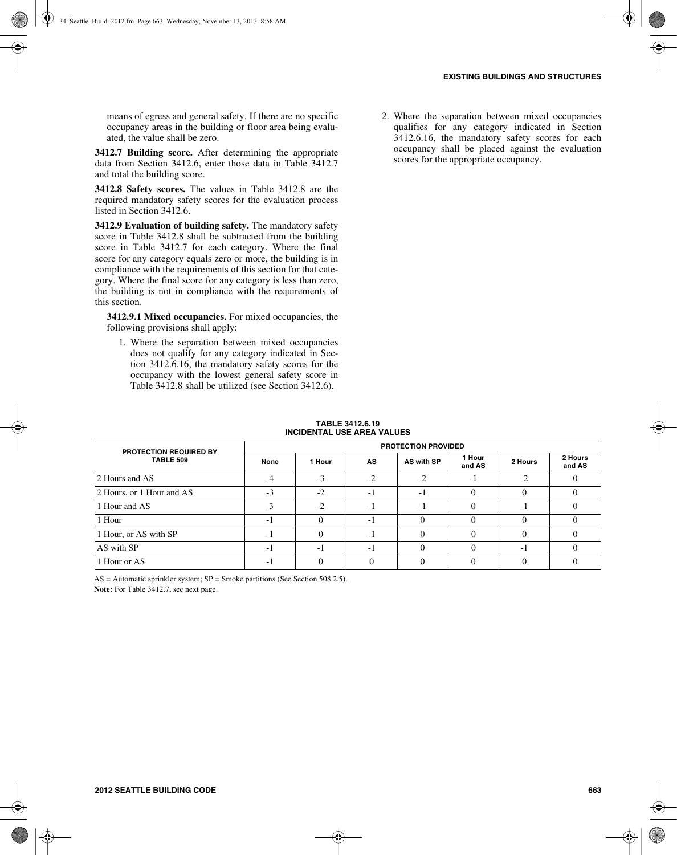means of egress and general safety. If there are no specific occupancy areas in the building or floor area being evaluated, the value shall be zero.

**3412.7 Building score.** After determining the appropriate data from Section 3412.6, enter those data in Table 3412.7 and total the building score.

**3412.8 Safety scores.** The values in Table 3412.8 are the required mandatory safety scores for the evaluation process listed in Section 3412.6.

**3412.9 Evaluation of building safety.** The mandatory safety score in Table 3412.8 shall be subtracted from the building score in Table 3412.7 for each category. Where the final score for any category equals zero or more, the building is in compliance with the requirements of this section for that category. Where the final score for any category is less than zero, the building is not in compliance with the requirements of this section.

**3412.9.1 Mixed occupancies.** For mixed occupancies, the following provisions shall apply:

1. Where the separation between mixed occupancies does not qualify for any category indicated in Section 3412.6.16, the mandatory safety scores for the occupancy with the lowest general safety score in Table 3412.8 shall be utilized (see Section 3412.6).

2. Where the separation between mixed occupancies qualifies for any category indicated in Section 3412.6.16, the mandatory safety scores for each occupancy shall be placed against the evaluation scores for the appropriate occupancy.

| <b>TABLE 3412.6.19</b>            |
|-----------------------------------|
| <b>INCIDENTAL USE AREA VALUES</b> |

| <b>PROTECTION REQUIRED BY</b> |                |        |      | <b>PROTECTION PROVIDED</b> |                  |         |                   |
|-------------------------------|----------------|--------|------|----------------------------|------------------|---------|-------------------|
| <b>TABLE 509</b>              | None           | 1 Hour | AS.  | AS with SP                 | 1 Hour<br>and AS | 2 Hours | 2 Hours<br>and AS |
| 2 Hours and AS                | $-4$           | $-3$   | $-2$ | $-2$                       | - 1              | $-2$    |                   |
| 2 Hours, or 1 Hour and AS     | $-3$           | $-2$   | $-1$ | $-1$                       |                  |         |                   |
| 1 Hour and AS                 | $-3$           | $-2$   | $-1$ | -1                         | $\Omega$         | - 1     |                   |
| 1 Hour                        | $-1$           |        | -1   | $\Omega$                   | $\Omega$         | 0       |                   |
| 1 Hour, or AS with SP         | $\overline{a}$ |        | $-1$ | $\Omega$                   | $\Omega$         | 0       |                   |
| AS with SP                    | $-1$           | -1     | $-1$ | $\theta$                   | 0                | - 1     |                   |
| 1 Hour or AS                  | - 1            |        |      | $\Omega$                   | $\Omega$         |         |                   |

 $AS =$  Automatic sprinkler system;  $SP =$  Smoke partitions (See Section 508.2.5). **Note:** For Table 3412.7, see next page.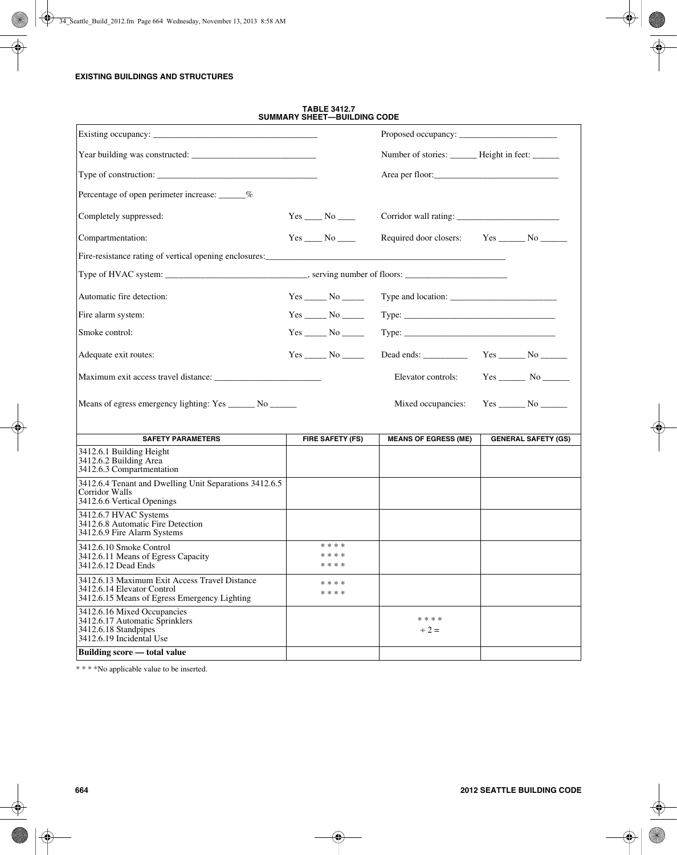## **EXISTING BUILDINGS AND STRUCTURES**

|                                                                                                                             |                               | Number of stories: ______ Height in feet: _____ |                            |
|-----------------------------------------------------------------------------------------------------------------------------|-------------------------------|-------------------------------------------------|----------------------------|
|                                                                                                                             |                               |                                                 |                            |
| Percentage of open perimeter increase: ______%                                                                              |                               |                                                 |                            |
| Completely suppressed:                                                                                                      |                               |                                                 |                            |
| Compartmentation:                                                                                                           |                               | Required door closers:                          | $Yes$ No                   |
|                                                                                                                             |                               |                                                 |                            |
|                                                                                                                             |                               |                                                 |                            |
| Automatic fire detection:                                                                                                   | $Yes \_\_\_No \_\_\_\_$       |                                                 |                            |
| Fire alarm system:                                                                                                          |                               |                                                 |                            |
| Smoke control:                                                                                                              |                               | $Type: \underline{\qquad \qquad }$              |                            |
| Adequate exit routes:                                                                                                       | $Yes$ No $\_\_$               |                                                 | $Yes \_\_\_No \_\_\_\_$    |
|                                                                                                                             |                               | Elevator controls:                              |                            |
| Means of egress emergency lighting: Yes _______ No _______                                                                  |                               | Mixed occupancies:                              |                            |
| <b>SAFETY PARAMETERS</b>                                                                                                    | <b>FIRE SAFETY (FS)</b>       | <b>MEANS OF EGRESS (ME)</b>                     | <b>GENERAL SAFETY (GS)</b> |
| 3412.6.1 Building Height<br>3412.6.2 Building Area<br>3412.6.3 Compartmentation                                             |                               |                                                 |                            |
| 3412.6.4 Tenant and Dwelling Unit Separations 3412.6.5<br>Corridor Walls<br>3412.6.6 Vertical Openings                      |                               |                                                 |                            |
| 3412.6.7 HVAC Systems<br>3412.6.8 Automatic Fire Detection<br>3412.6.9 Fire Alarm Systems                                   |                               |                                                 |                            |
| 3412.6.10 Smoke Control<br>3412.6.11 Means of Egress Capacity<br>3412.6.12 Dead Ends                                        | * * * *<br>* * * *<br>* * * * |                                                 |                            |
| 3412.6.13 Maximum Exit Access Travel Distance<br>3412.6.14 Elevator Control<br>3412.6.15 Means of Egress Emergency Lighting | * * * *<br>* * * *            |                                                 |                            |
| 3412.6.16 Mixed Occupancies<br>3412.6.17 Automatic Sprinklers<br>3412.6.18 Standpipes<br>3412.6.19 Incidental Use           |                               | * * * *<br>$\div 2 =$                           |                            |
| Building score — total value                                                                                                |                               |                                                 |                            |

**TABLE 3412.7 SUMMARY SHEET—BUILDING CODE**

\* \* \* \*No applicable value to be inserted.